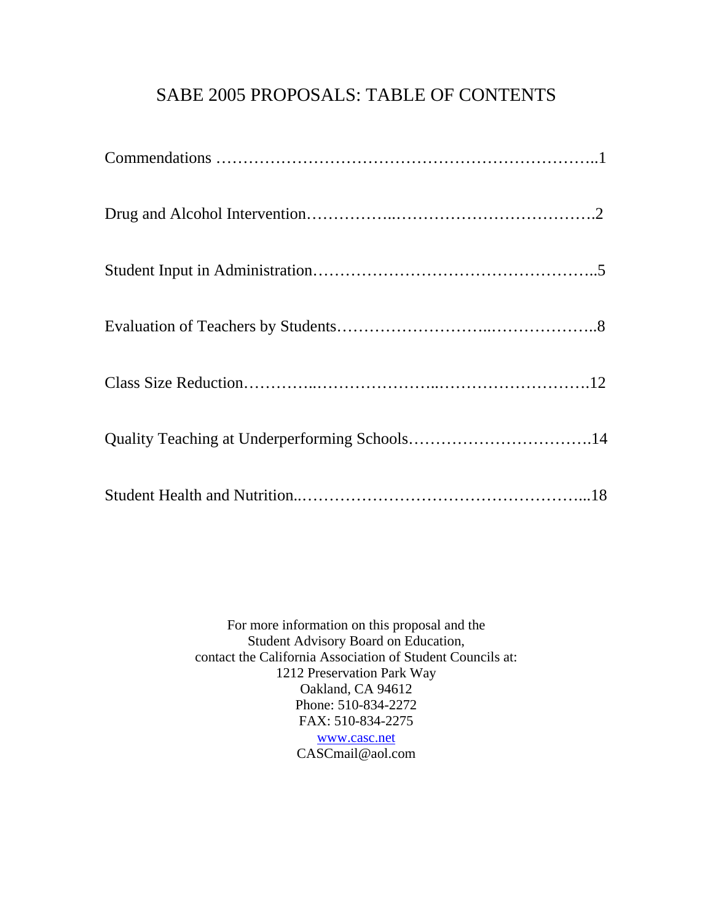## SABE 2005 PROPOSALS: TABLE OF CONTENTS

For more information on this proposal and the Student Advisory Board on Education, contact the California Association of Student Councils at: 1212 Preservation Park Way Oakland, CA 94612 Phone: 510-834-2272 FAX: 510-834-2275 [www.casc.net](http://www.casc.net) CASCmail@aol.com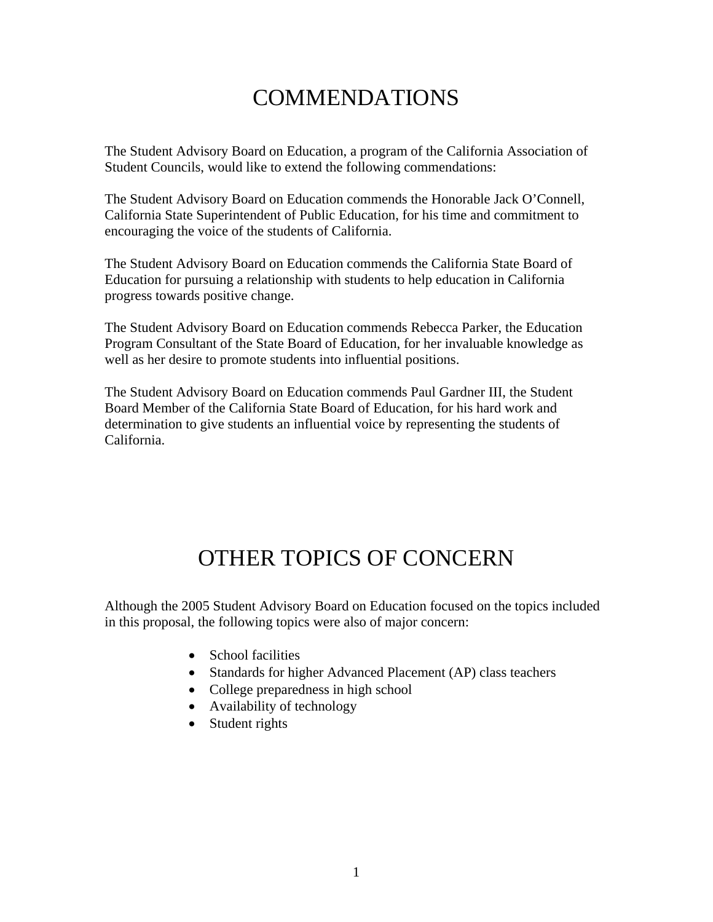# COMMENDATIONS

The Student Advisory Board on Education, a program of the California Association of Student Councils, would like to extend the following commendations:

The Student Advisory Board on Education commends the Honorable Jack O'Connell, California State Superintendent of Public Education, for his time and commitment to encouraging the voice of the students of California.

The Student Advisory Board on Education commends the California State Board of Education for pursuing a relationship with students to help education in California progress towards positive change.

The Student Advisory Board on Education commends Rebecca Parker, the Education Program Consultant of the State Board of Education, for her invaluable knowledge as well as her desire to promote students into influential positions.

The Student Advisory Board on Education commends Paul Gardner III, the Student Board Member of the California State Board of Education, for his hard work and determination to give students an influential voice by representing the students of California.

# OTHER TOPICS OF CONCERN

Although the 2005 Student Advisory Board on Education focused on the topics included in this proposal, the following topics were also of major concern:

- School facilities
- Standards for higher Advanced Placement (AP) class teachers
- College preparedness in high school
- Availability of technology
- Student rights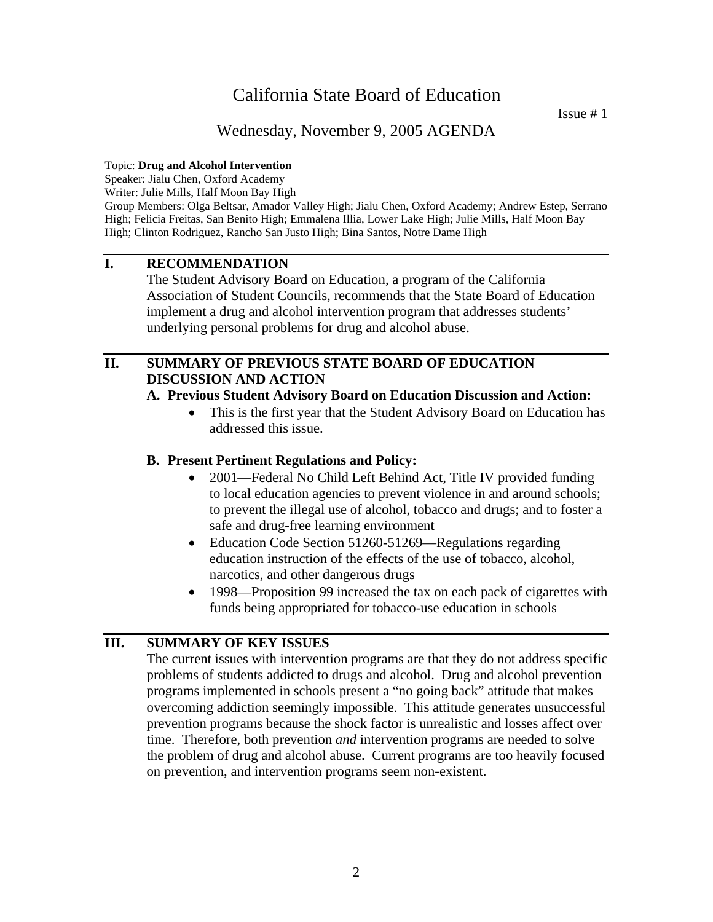Issue # 1

### Wednesday, November 9, 2005 AGENDA

#### Topic: **Drug and Alcohol Intervention**

Speaker: Jialu Chen, Oxford Academy

Writer: Julie Mills, Half Moon Bay High

Group Members: Olga Beltsar, Amador Valley High; Jialu Chen, Oxford Academy; Andrew Estep, Serrano High; Felicia Freitas, San Benito High; Emmalena Illia, Lower Lake High; Julie Mills, Half Moon Bay High; Clinton Rodriguez, Rancho San Justo High; Bina Santos, Notre Dame High

### **I. RECOMMENDATION**

The Student Advisory Board on Education, a program of the California Association of Student Councils, recommends that the State Board of Education implement a drug and alcohol intervention program that addresses students' underlying personal problems for drug and alcohol abuse.

### **II. SUMMARY OF PREVIOUS STATE BOARD OF EDUCATION DISCUSSION AND ACTION**

#### **A. Previous Student Advisory Board on Education Discussion and Action:**

• This is the first year that the Student Advisory Board on Education has addressed this issue.

#### **B. Present Pertinent Regulations and Policy:**

- 2001—Federal No Child Left Behind Act, Title IV provided funding to local education agencies to prevent violence in and around schools; to prevent the illegal use of alcohol, tobacco and drugs; and to foster a safe and drug-free learning environment
- Education Code Section 51260-51269—Regulations regarding education instruction of the effects of the use of tobacco, alcohol, narcotics, and other dangerous drugs
- 1998—Proposition 99 increased the tax on each pack of cigarettes with funds being appropriated for tobacco-use education in schools

### **III. SUMMARY OF KEY ISSUES**

The current issues with intervention programs are that they do not address specific problems of students addicted to drugs and alcohol. Drug and alcohol prevention programs implemented in schools present a "no going back" attitude that makes overcoming addiction seemingly impossible. This attitude generates unsuccessful prevention programs because the shock factor is unrealistic and losses affect over time. Therefore, both prevention *and* intervention programs are needed to solve the problem of drug and alcohol abuse. Current programs are too heavily focused on prevention, and intervention programs seem non-existent.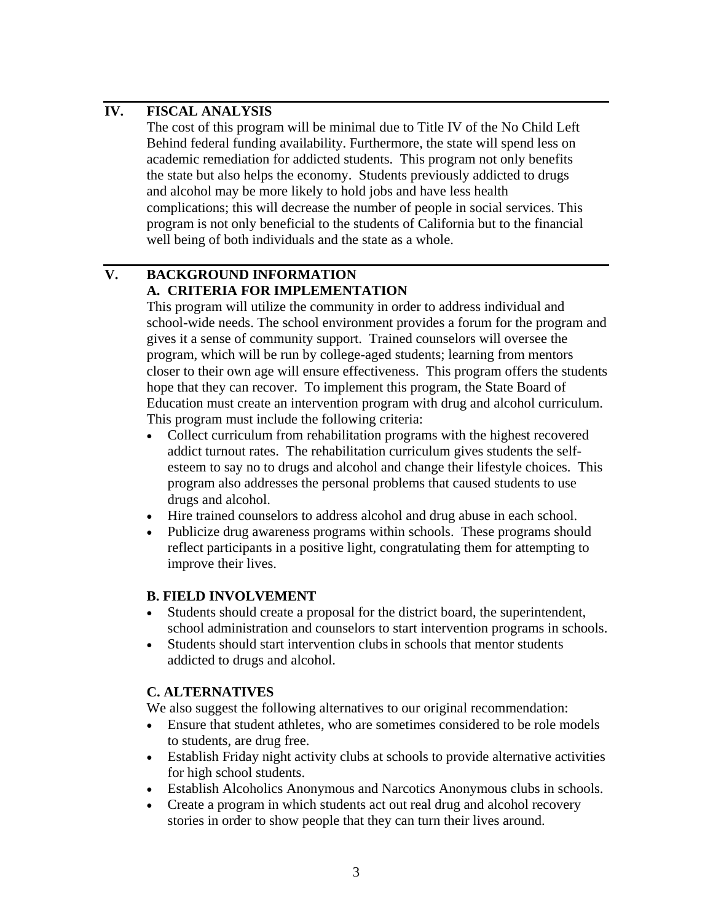### **IV. FISCAL ANALYSIS**

The cost of this program will be minimal due to Title IV of the No Child Left Behind federal funding availability. Furthermore, the state will spend less on academic remediation for addicted students. This program not only benefits the state but also helps the economy. Students previously addicted to drugs and alcohol may be more likely to hold jobs and have less health complications; this will decrease the number of people in social services. This program is not only beneficial to the students of California but to the financial well being of both individuals and the state as a whole.

## **V. BACKGROUND INFORMATION A. CRITERIA FOR IMPLEMENTATION**

This program will utilize the community in order to address individual and school-wide needs. The school environment provides a forum for the program and gives it a sense of community support. Trained counselors will oversee the program, which will be run by college-aged students; learning from mentors closer to their own age will ensure effectiveness. This program offers the students hope that they can recover. To implement this program, the State Board of Education must create an intervention program with drug and alcohol curriculum. This program must include the following criteria:

- Collect curriculum from rehabilitation programs with the highest recovered addict turnout rates. The rehabilitation curriculum gives students the selfesteem to say no to drugs and alcohol and change their lifestyle choices. This program also addresses the personal problems that caused students to use drugs and alcohol.
- Hire trained counselors to address alcohol and drug abuse in each school.
- Publicize drug awareness programs within schools. These programs should reflect participants in a positive light, congratulating them for attempting to improve their lives.

### **B. FIELD INVOLVEMENT**

- Students should create a proposal for the district board, the superintendent, school administration and counselors to start intervention programs in schools.
- Students should start intervention clubs in schools that mentor students addicted to drugs and alcohol.

### **C. ALTERNATIVES**

We also suggest the following alternatives to our original recommendation:

- Ensure that student athletes, who are sometimes considered to be role models to students, are drug free.
- Establish Friday night activity clubs at schools to provide alternative activities for high school students.
- Establish Alcoholics Anonymous and Narcotics Anonymous clubs in schools.
- Create a program in which students act out real drug and alcohol recovery stories in order to show people that they can turn their lives around.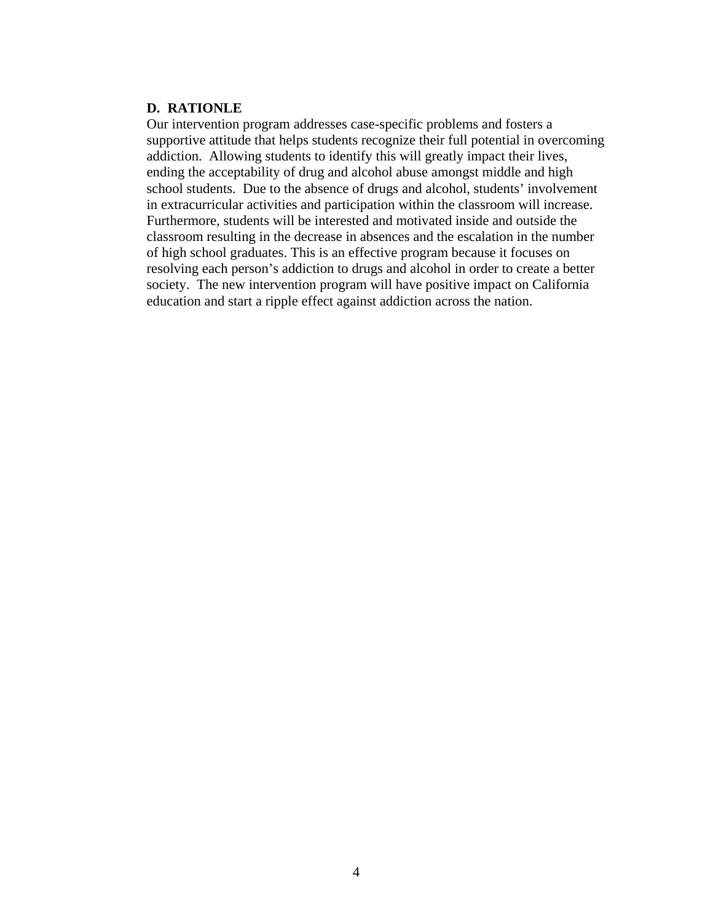#### **D. RATIONLE**

Our intervention program addresses case-specific problems and fosters a supportive attitude that helps students recognize their full potential in overcoming addiction. Allowing students to identify this will greatly impact their lives, ending the acceptability of drug and alcohol abuse amongst middle and high school students. Due to the absence of drugs and alcohol, students' involvement in extracurricular activities and participation within the classroom will increase. Furthermore, students will be interested and motivated inside and outside the classroom resulting in the decrease in absences and the escalation in the number of high school graduates. This is an effective program because it focuses on resolving each person's addiction to drugs and alcohol in order to create a better society. The new intervention program will have positive impact on California education and start a ripple effect against addiction across the nation.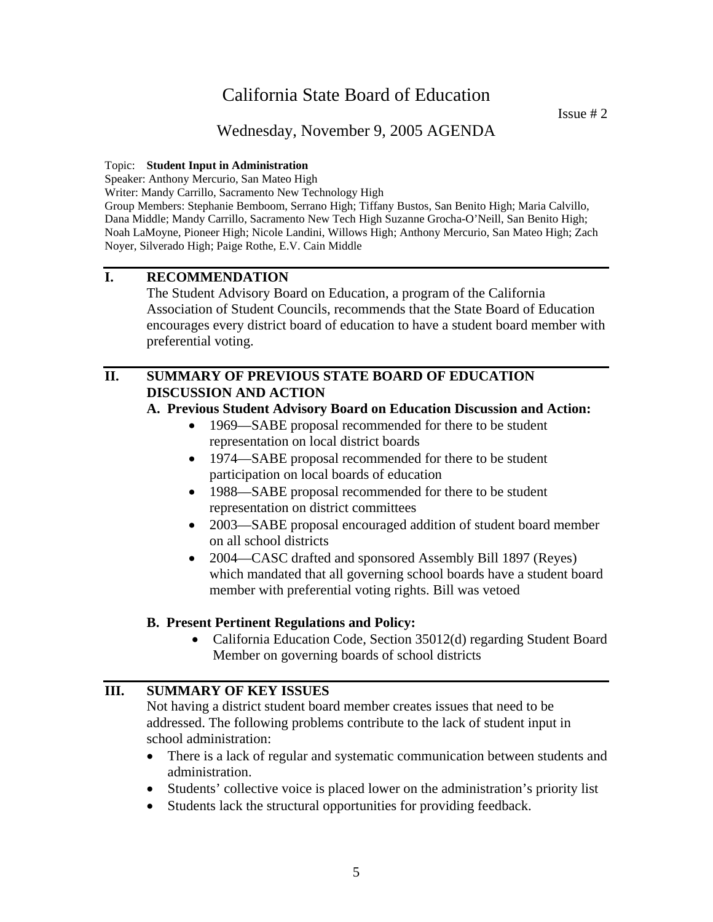Issue  $# 2$ 

### Wednesday, November 9, 2005 AGENDA

#### Topic: **Student Input in Administration**

Speaker: Anthony Mercurio, San Mateo High

Writer: Mandy Carrillo, Sacramento New Technology High

Group Members: Stephanie Bemboom, Serrano High; Tiffany Bustos, San Benito High; Maria Calvillo, Dana Middle; Mandy Carrillo, Sacramento New Tech High Suzanne Grocha-O'Neill, San Benito High; Noah LaMoyne, Pioneer High; Nicole Landini, Willows High; Anthony Mercurio, San Mateo High; Zach Noyer, Silverado High; Paige Rothe, E.V. Cain Middle

### **I. RECOMMENDATION**

The Student Advisory Board on Education, a program of the California Association of Student Councils, recommends that the State Board of Education encourages every district board of education to have a student board member with preferential voting.

### **II. SUMMARY OF PREVIOUS STATE BOARD OF EDUCATION DISCUSSION AND ACTION**

#### **A. Previous Student Advisory Board on Education Discussion and Action:**

- 1969—SABE proposal recommended for there to be student representation on local district boards
- 1974—SABE proposal recommended for there to be student participation on local boards of education
- 1988—SABE proposal recommended for there to be student representation on district committees
- 2003—SABE proposal encouraged addition of student board member on all school districts
- 2004—CASC drafted and sponsored Assembly Bill 1897 (Reyes) which mandated that all governing school boards have a student board member with preferential voting rights. Bill was vetoed

#### **B. Present Pertinent Regulations and Policy:**

• California Education Code, Section 35012(d) regarding Student Board Member on governing boards of school districts

#### **III. SUMMARY OF KEY ISSUES**

Not having a district student board member creates issues that need to be addressed. The following problems contribute to the lack of student input in school administration:

- There is a lack of regular and systematic communication between students and administration.
- Students' collective voice is placed lower on the administration's priority list
- Students lack the structural opportunities for providing feedback.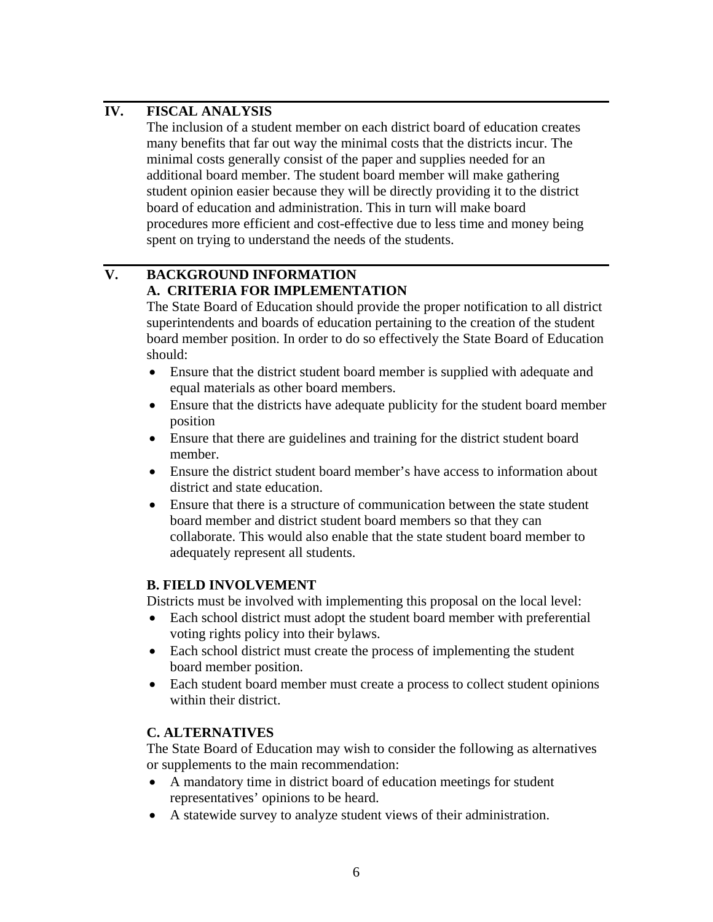### **IV. FISCAL ANALYSIS**

The inclusion of a student member on each district board of education creates many benefits that far out way the minimal costs that the districts incur. The minimal costs generally consist of the paper and supplies needed for an additional board member. The student board member will make gathering student opinion easier because they will be directly providing it to the district board of education and administration. This in turn will make board procedures more efficient and cost-effective due to less time and money being spent on trying to understand the needs of the students.

## **V. BACKGROUND INFORMATION A. CRITERIA FOR IMPLEMENTATION**

The State Board of Education should provide the proper notification to all district superintendents and boards of education pertaining to the creation of the student board member position. In order to do so effectively the State Board of Education should:

- Ensure that the district student board member is supplied with adequate and equal materials as other board members.
- Ensure that the districts have adequate publicity for the student board member position
- Ensure that there are guidelines and training for the district student board member.
- Ensure the district student board member's have access to information about district and state education.
- Ensure that there is a structure of communication between the state student board member and district student board members so that they can collaborate. This would also enable that the state student board member to adequately represent all students.

### **B. FIELD INVOLVEMENT**

Districts must be involved with implementing this proposal on the local level:

- Each school district must adopt the student board member with preferential voting rights policy into their bylaws.
- Each school district must create the process of implementing the student board member position.
- Each student board member must create a process to collect student opinions within their district.

### **C. ALTERNATIVES**

The State Board of Education may wish to consider the following as alternatives or supplements to the main recommendation:

- A mandatory time in district board of education meetings for student representatives' opinions to be heard.
- A statewide survey to analyze student views of their administration.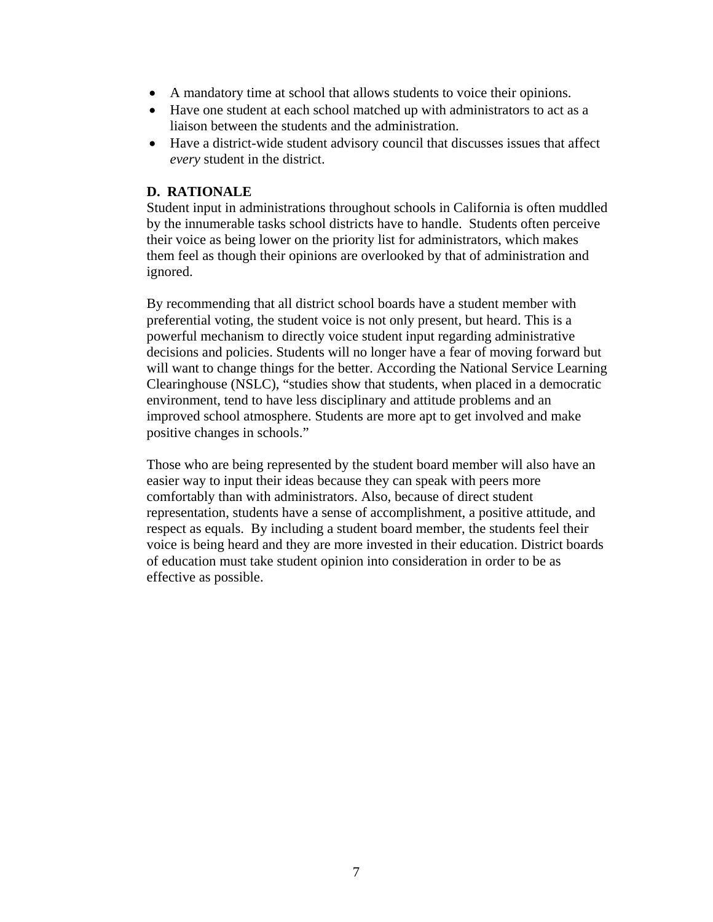- A mandatory time at school that allows students to voice their opinions.
- Have one student at each school matched up with administrators to act as a liaison between the students and the administration.
- Have a district-wide student advisory council that discusses issues that affect *every* student in the district.

#### **D. RATIONALE**

Student input in administrations throughout schools in California is often muddled by the innumerable tasks school districts have to handle. Students often perceive their voice as being lower on the priority list for administrators, which makes them feel as though their opinions are overlooked by that of administration and ignored.

By recommending that all district school boards have a student member with preferential voting, the student voice is not only present, but heard. This is a powerful mechanism to directly voice student input regarding administrative decisions and policies. Students will no longer have a fear of moving forward but will want to change things for the better. According the National Service Learning Clearinghouse (NSLC), "studies show that students, when placed in a democratic environment, tend to have less disciplinary and attitude problems and an improved school atmosphere. Students are more apt to get involved and make positive changes in schools."

Those who are being represented by the student board member will also have an easier way to input their ideas because they can speak with peers more comfortably than with administrators. Also, because of direct student representation, students have a sense of accomplishment, a positive attitude, and respect as equals. By including a student board member, the students feel their voice is being heard and they are more invested in their education. District boards of education must take student opinion into consideration in order to be as effective as possible.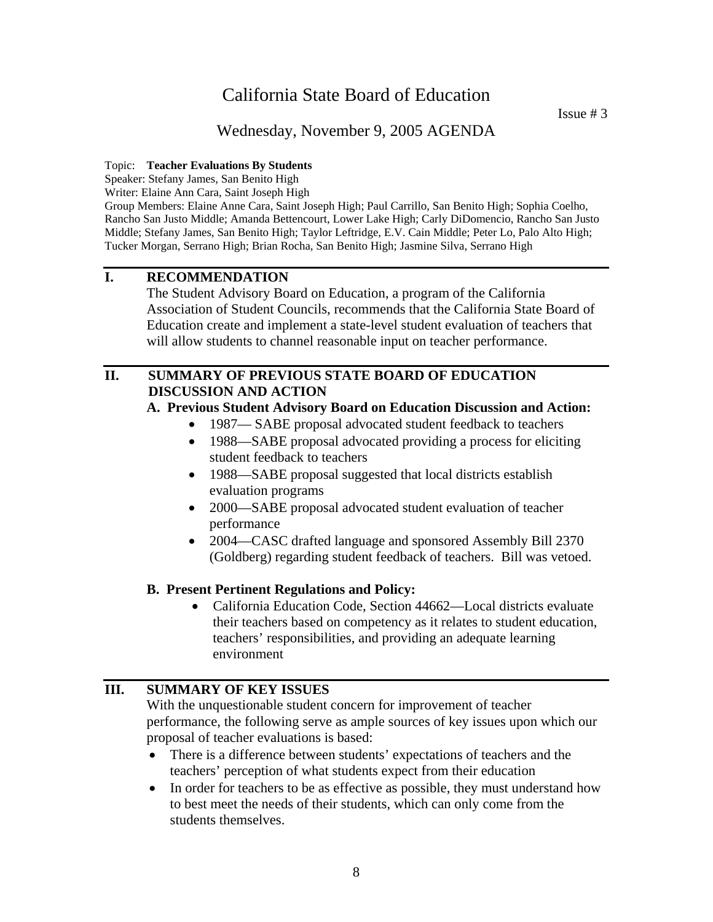Issue # 3

### Wednesday, November 9, 2005 AGENDA

#### Topic: **Teacher Evaluations By Students**

Speaker: Stefany James, San Benito High

Writer: Elaine Ann Cara, Saint Joseph High

Group Members: Elaine Anne Cara, Saint Joseph High; Paul Carrillo, San Benito High; Sophia Coelho, Rancho San Justo Middle; Amanda Bettencourt, Lower Lake High; Carly DiDomencio, Rancho San Justo Middle; Stefany James, San Benito High; Taylor Leftridge, E.V. Cain Middle; Peter Lo, Palo Alto High; Tucker Morgan, Serrano High; Brian Rocha, San Benito High; Jasmine Silva, Serrano High

### **I. RECOMMENDATION**

The Student Advisory Board on Education, a program of the California Association of Student Councils, recommends that the California State Board of Education create and implement a state-level student evaluation of teachers that will allow students to channel reasonable input on teacher performance.

### **II. SUMMARY OF PREVIOUS STATE BOARD OF EDUCATION DISCUSSION AND ACTION**

#### **A. Previous Student Advisory Board on Education Discussion and Action:**

- 1987— SABE proposal advocated student feedback to teachers
- 1988—SABE proposal advocated providing a process for eliciting student feedback to teachers
- 1988—SABE proposal suggested that local districts establish evaluation programs
- 2000—SABE proposal advocated student evaluation of teacher performance
- 2004—CASC drafted language and sponsored Assembly Bill 2370 (Goldberg) regarding student feedback of teachers. Bill was vetoed.

#### **B. Present Pertinent Regulations and Policy:**

• California Education Code, Section 44662—Local districts evaluate their teachers based on competency as it relates to student education, teachers' responsibilities, and providing an adequate learning environment

### **III. SUMMARY OF KEY ISSUES**

With the unquestionable student concern for improvement of teacher performance, the following serve as ample sources of key issues upon which our proposal of teacher evaluations is based:

- There is a difference between students' expectations of teachers and the teachers' perception of what students expect from their education
- In order for teachers to be as effective as possible, they must understand how to best meet the needs of their students, which can only come from the students themselves.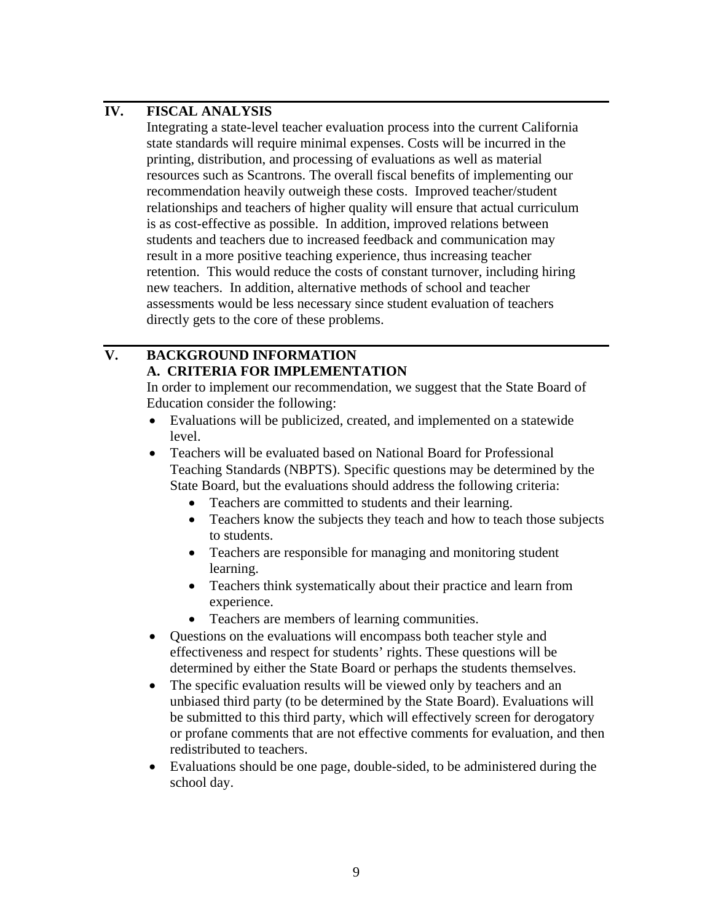### **IV. FISCAL ANALYSIS**

Integrating a state-level teacher evaluation process into the current California state standards will require minimal expenses. Costs will be incurred in the printing, distribution, and processing of evaluations as well as material resources such as Scantrons. The overall fiscal benefits of implementing our recommendation heavily outweigh these costs. Improved teacher/student relationships and teachers of higher quality will ensure that actual curriculum is as cost-effective as possible. In addition, improved relations between students and teachers due to increased feedback and communication may result in a more positive teaching experience, thus increasing teacher retention. This would reduce the costs of constant turnover, including hiring new teachers. In addition, alternative methods of school and teacher assessments would be less necessary since student evaluation of teachers directly gets to the core of these problems.

### **V. BACKGROUND INFORMATION A. CRITERIA FOR IMPLEMENTATION**

In order to implement our recommendation, we suggest that the State Board of Education consider the following:

- Evaluations will be publicized, created, and implemented on a statewide level.
- Teachers will be evaluated based on National Board for Professional Teaching Standards (NBPTS). Specific questions may be determined by the State Board, but the evaluations should address the following criteria:
	- Teachers are committed to students and their learning.
	- Teachers know the subjects they teach and how to teach those subjects to students.
	- Teachers are responsible for managing and monitoring student learning.
	- Teachers think systematically about their practice and learn from experience.
	- Teachers are members of learning communities.
- Questions on the evaluations will encompass both teacher style and effectiveness and respect for students' rights. These questions will be determined by either the State Board or perhaps the students themselves.
- The specific evaluation results will be viewed only by teachers and an unbiased third party (to be determined by the State Board). Evaluations will be submitted to this third party, which will effectively screen for derogatory or profane comments that are not effective comments for evaluation, and then redistributed to teachers.
- Evaluations should be one page, double-sided, to be administered during the school day.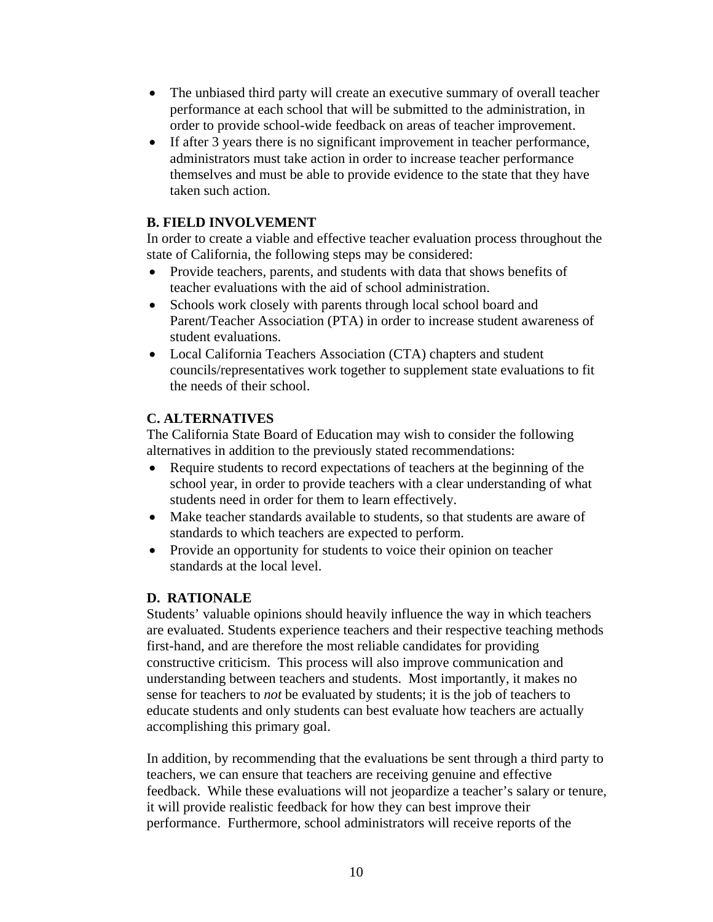- The unbiased third party will create an executive summary of overall teacher performance at each school that will be submitted to the administration, in order to provide school-wide feedback on areas of teacher improvement.
- If after 3 years there is no significant improvement in teacher performance, administrators must take action in order to increase teacher performance themselves and must be able to provide evidence to the state that they have taken such action.

### **B. FIELD INVOLVEMENT**

In order to create a viable and effective teacher evaluation process throughout the state of California, the following steps may be considered:

- Provide teachers, parents, and students with data that shows benefits of teacher evaluations with the aid of school administration.
- Schools work closely with parents through local school board and Parent/Teacher Association (PTA) in order to increase student awareness of student evaluations.
- Local California Teachers Association (CTA) chapters and student councils/representatives work together to supplement state evaluations to fit the needs of their school.

### **C. ALTERNATIVES**

The California State Board of Education may wish to consider the following alternatives in addition to the previously stated recommendations:

- Require students to record expectations of teachers at the beginning of the school year, in order to provide teachers with a clear understanding of what students need in order for them to learn effectively.
- Make teacher standards available to students, so that students are aware of standards to which teachers are expected to perform.
- Provide an opportunity for students to voice their opinion on teacher standards at the local level.

### **D. RATIONALE**

Students' valuable opinions should heavily influence the way in which teachers are evaluated. Students experience teachers and their respective teaching methods first-hand, and are therefore the most reliable candidates for providing constructive criticism. This process will also improve communication and understanding between teachers and students. Most importantly, it makes no sense for teachers to *not* be evaluated by students; it is the job of teachers to educate students and only students can best evaluate how teachers are actually accomplishing this primary goal.

In addition, by recommending that the evaluations be sent through a third party to teachers, we can ensure that teachers are receiving genuine and effective feedback. While these evaluations will not jeopardize a teacher's salary or tenure, it will provide realistic feedback for how they can best improve their performance. Furthermore, school administrators will receive reports of the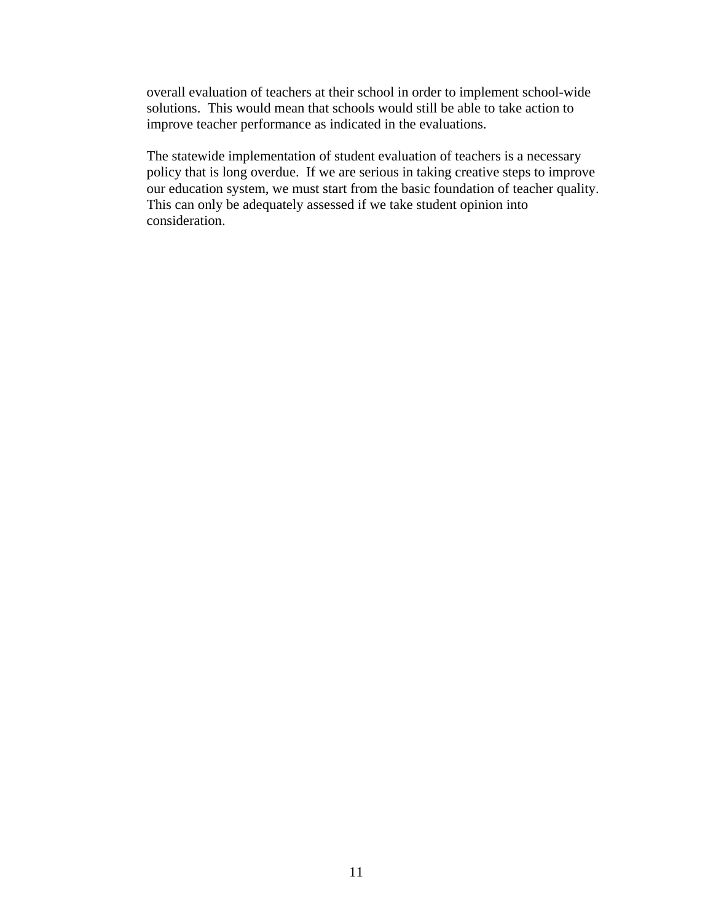overall evaluation of teachers at their school in order to implement school-wide solutions. This would mean that schools would still be able to take action to improve teacher performance as indicated in the evaluations.

The statewide implementation of student evaluation of teachers is a necessary policy that is long overdue. If we are serious in taking creative steps to improve our education system, we must start from the basic foundation of teacher quality. This can only be adequately assessed if we take student opinion into consideration.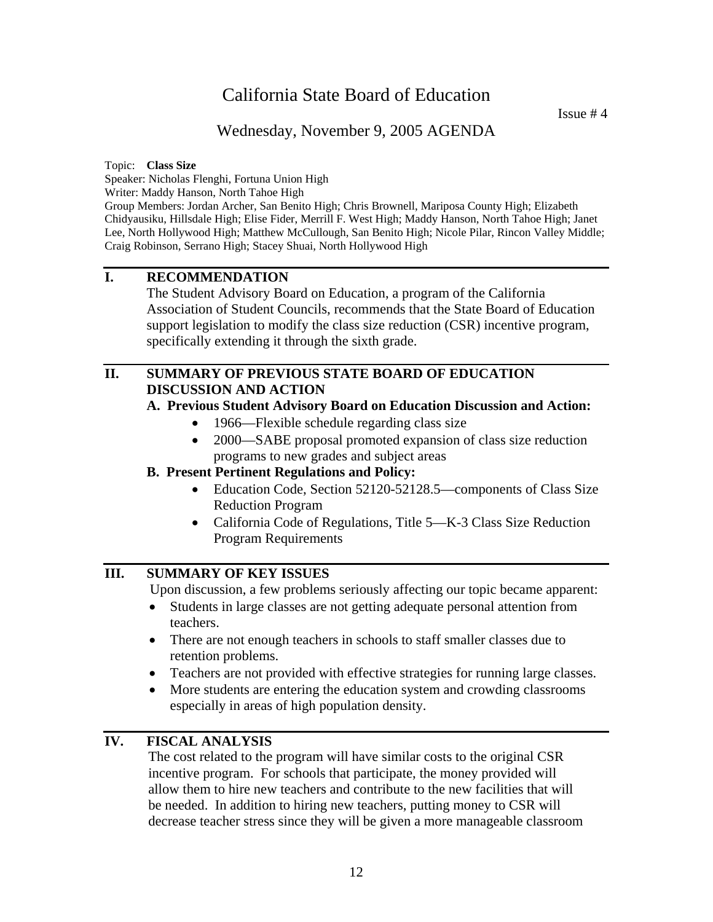### Wednesday, November 9, 2005 AGENDA

#### Topic: **Class Size**

Speaker: Nicholas Flenghi, Fortuna Union High

Writer: Maddy Hanson, North Tahoe High

Group Members: Jordan Archer, San Benito High; Chris Brownell, Mariposa County High; Elizabeth Chidyausiku, Hillsdale High; Elise Fider, Merrill F. West High; Maddy Hanson, North Tahoe High; Janet Lee, North Hollywood High; Matthew McCullough, San Benito High; Nicole Pilar, Rincon Valley Middle; Craig Robinson, Serrano High; Stacey Shuai, North Hollywood High

### **I. RECOMMENDATION**

 The Student Advisory Board on Education, a program of the California Association of Student Councils, recommends that the State Board of Education support legislation to modify the class size reduction (CSR) incentive program, specifically extending it through the sixth grade.

### **II. SUMMARY OF PREVIOUS STATE BOARD OF EDUCATION DISCUSSION AND ACTION**

### **A. Previous Student Advisory Board on Education Discussion and Action:**

- 1966—Flexible schedule regarding class size
- 2000—SABE proposal promoted expansion of class size reduction programs to new grades and subject areas

### **B. Present Pertinent Regulations and Policy:**

- Education Code, Section 52120-52128.5—components of Class Size Reduction Program
- California Code of Regulations, Title 5—K-3 Class Size Reduction Program Requirements

### **III. SUMMARY OF KEY ISSUES**

Upon discussion, a few problems seriously affecting our topic became apparent:

- Students in large classes are not getting adequate personal attention from teachers.
- There are not enough teachers in schools to staff smaller classes due to retention problems.
- Teachers are not provided with effective strategies for running large classes.
- More students are entering the education system and crowding classrooms especially in areas of high population density.

### **IV. FISCAL ANALYSIS**

The cost related to the program will have similar costs to the original CSR incentive program. For schools that participate, the money provided will allow them to hire new teachers and contribute to the new facilities that will be needed. In addition to hiring new teachers, putting money to CSR will decrease teacher stress since they will be given a more manageable classroom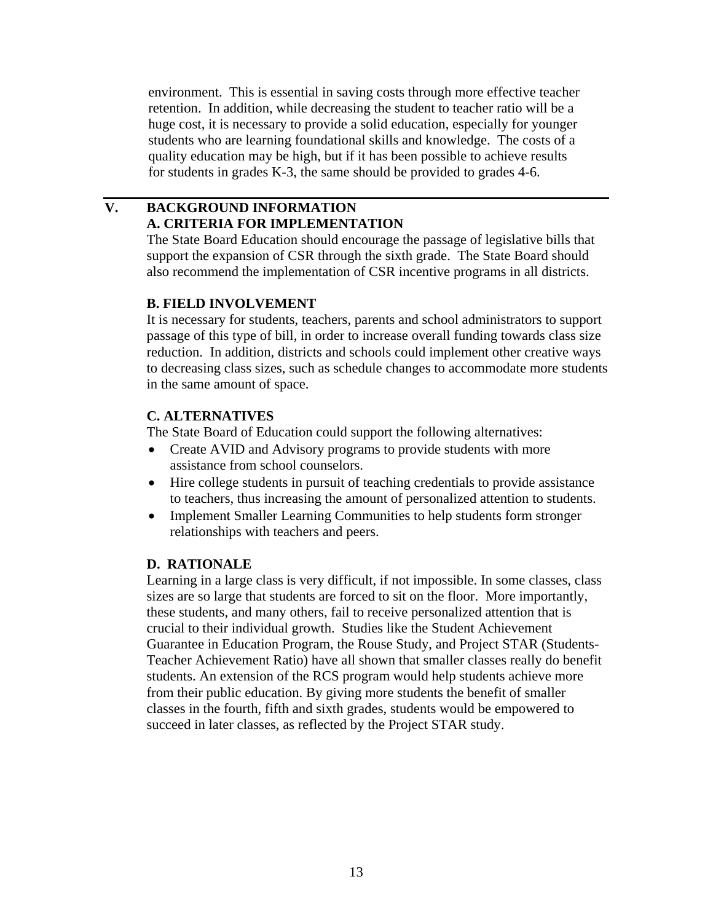environment. This is essential in saving costs through more effective teacher retention. In addition, while decreasing the student to teacher ratio will be a huge cost, it is necessary to provide a solid education, especially for younger students who are learning foundational skills and knowledge. The costs of a quality education may be high, but if it has been possible to achieve results for students in grades K-3, the same should be provided to grades 4-6.

### **V. BACKGROUND INFORMATION A. CRITERIA FOR IMPLEMENTATION**

The State Board Education should encourage the passage of legislative bills that support the expansion of CSR through the sixth grade. The State Board should also recommend the implementation of CSR incentive programs in all districts.

### **B. FIELD INVOLVEMENT**

It is necessary for students, teachers, parents and school administrators to support passage of this type of bill, in order to increase overall funding towards class size reduction. In addition, districts and schools could implement other creative ways to decreasing class sizes, such as schedule changes to accommodate more students in the same amount of space.

### **C. ALTERNATIVES**

The State Board of Education could support the following alternatives:

- Create AVID and Advisory programs to provide students with more assistance from school counselors.
- Hire college students in pursuit of teaching credentials to provide assistance to teachers, thus increasing the amount of personalized attention to students.
- Implement Smaller Learning Communities to help students form stronger relationships with teachers and peers.

### **D. RATIONALE**

Learning in a large class is very difficult, if not impossible. In some classes, class sizes are so large that students are forced to sit on the floor. More importantly, these students, and many others, fail to receive personalized attention that is crucial to their individual growth. Studies like the Student Achievement Guarantee in Education Program, the Rouse Study, and Project STAR (Students-Teacher Achievement Ratio) have all shown that smaller classes really do benefit students. An extension of the RCS program would help students achieve more from their public education. By giving more students the benefit of smaller classes in the fourth, fifth and sixth grades, students would be empowered to succeed in later classes, as reflected by the Project STAR study.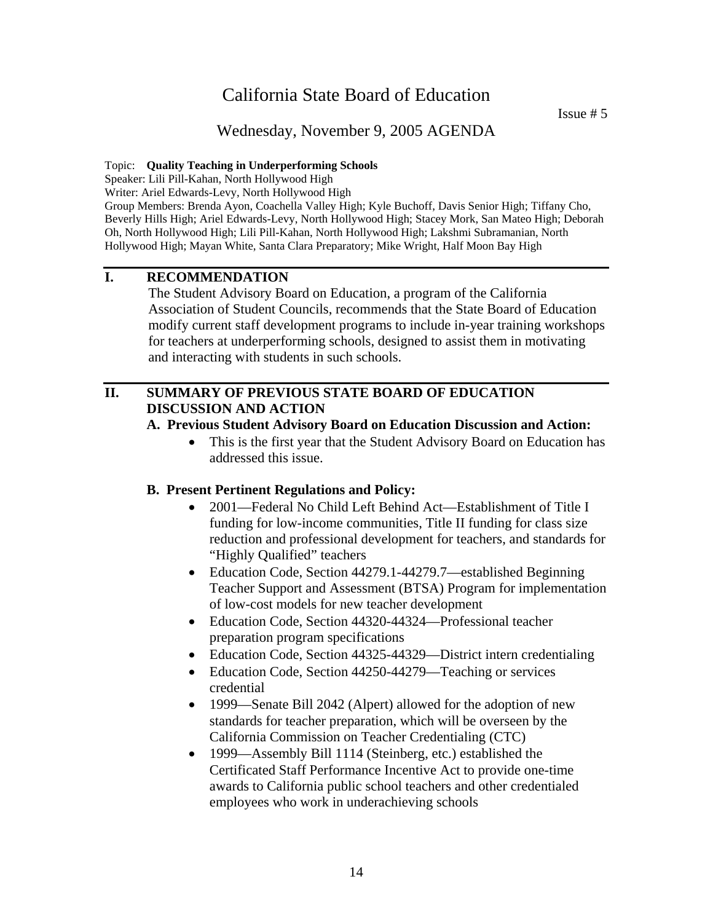Issue # 5

### Wednesday, November 9, 2005 AGENDA

#### Topic: **Quality Teaching in Underperforming Schools**

Speaker: Lili Pill-Kahan, North Hollywood High

Writer: Ariel Edwards-Levy, North Hollywood High

Group Members: Brenda Ayon, Coachella Valley High; Kyle Buchoff, Davis Senior High; Tiffany Cho, Beverly Hills High; Ariel Edwards-Levy, North Hollywood High; Stacey Mork, San Mateo High; Deborah Oh, North Hollywood High; Lili Pill-Kahan, North Hollywood High; Lakshmi Subramanian, North Hollywood High; Mayan White, Santa Clara Preparatory; Mike Wright, Half Moon Bay High

### **I. RECOMMENDATION**

The Student Advisory Board on Education, a program of the California Association of Student Councils, recommends that the State Board of Education modify current staff development programs to include in-year training workshops for teachers at underperforming schools, designed to assist them in motivating and interacting with students in such schools.

### **II. SUMMARY OF PREVIOUS STATE BOARD OF EDUCATION DISCUSSION AND ACTION**

#### **A. Previous Student Advisory Board on Education Discussion and Action:**

This is the first year that the Student Advisory Board on Education has addressed this issue.

#### **B. Present Pertinent Regulations and Policy:**

- 2001—Federal No Child Left Behind Act—Establishment of Title I funding for low-income communities, Title II funding for class size reduction and professional development for teachers, and standards for "Highly Qualified" teachers
- Education Code, Section 44279.1-44279.7—established Beginning Teacher Support and Assessment (BTSA) Program for implementation of low-cost models for new teacher development
- Education Code, Section 44320-44324—Professional teacher preparation program specifications
- Education Code, Section 44325-44329—District intern credentialing
- Education Code, Section 44250-44279—Teaching or services credential
- 1999—Senate Bill 2042 (Alpert) allowed for the adoption of new standards for teacher preparation, which will be overseen by the California Commission on Teacher Credentialing (CTC)
- 1999—Assembly Bill 1114 (Steinberg, etc.) established the Certificated Staff Performance Incentive Act to provide one-time awards to California public school teachers and other credentialed employees who work in underachieving schools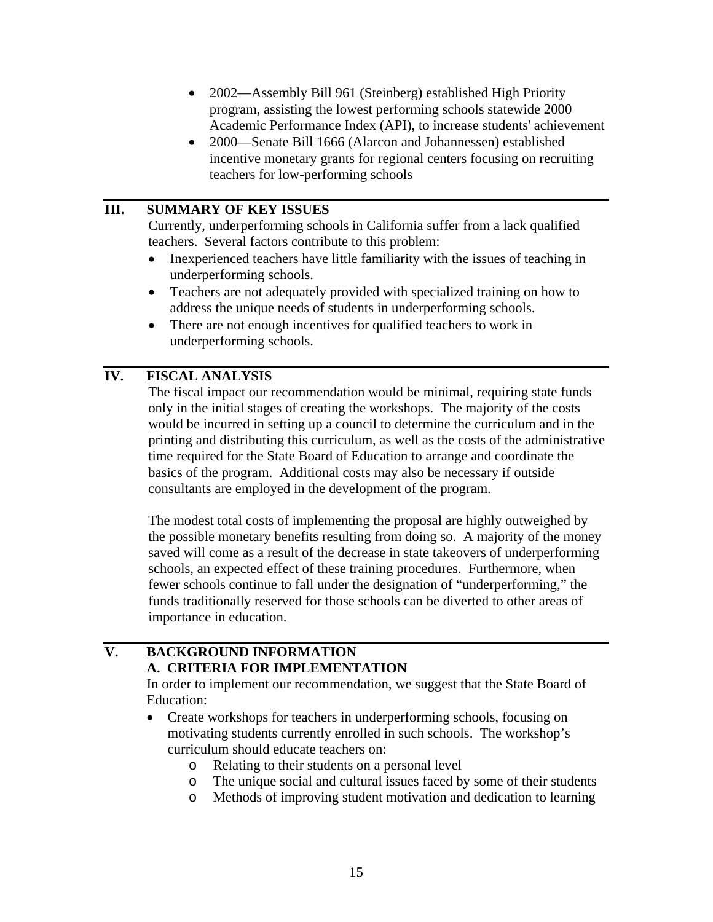- 2002—Assembly Bill 961 (Steinberg) established High Priority program, assisting the lowest performing schools statewide 2000 Academic Performance Index (API), to increase students' achievement
- 2000—Senate Bill 1666 (Alarcon and Johannessen) established incentive monetary grants for regional centers focusing on recruiting teachers for low-performing schools

### **III. SUMMARY OF KEY ISSUES**

Currently, underperforming schools in California suffer from a lack qualified teachers. Several factors contribute to this problem:

- Inexperienced teachers have little familiarity with the issues of teaching in underperforming schools.
- Teachers are not adequately provided with specialized training on how to address the unique needs of students in underperforming schools.
- There are not enough incentives for qualified teachers to work in underperforming schools.

### **IV. FISCAL ANALYSIS**

The fiscal impact our recommendation would be minimal, requiring state funds only in the initial stages of creating the workshops. The majority of the costs would be incurred in setting up a council to determine the curriculum and in the printing and distributing this curriculum, as well as the costs of the administrative time required for the State Board of Education to arrange and coordinate the basics of the program. Additional costs may also be necessary if outside consultants are employed in the development of the program.

The modest total costs of implementing the proposal are highly outweighed by the possible monetary benefits resulting from doing so. A majority of the money saved will come as a result of the decrease in state takeovers of underperforming schools, an expected effect of these training procedures. Furthermore, when fewer schools continue to fall under the designation of "underperforming," the funds traditionally reserved for those schools can be diverted to other areas of importance in education.

### **V. BACKGROUND INFORMATION A. CRITERIA FOR IMPLEMENTATION**

In order to implement our recommendation, we suggest that the State Board of Education:

- Create workshops for teachers in underperforming schools, focusing on motivating students currently enrolled in such schools. The workshop's curriculum should educate teachers on:
	- o Relating to their students on a personal level
	- o The unique social and cultural issues faced by some of their students
	- o Methods of improving student motivation and dedication to learning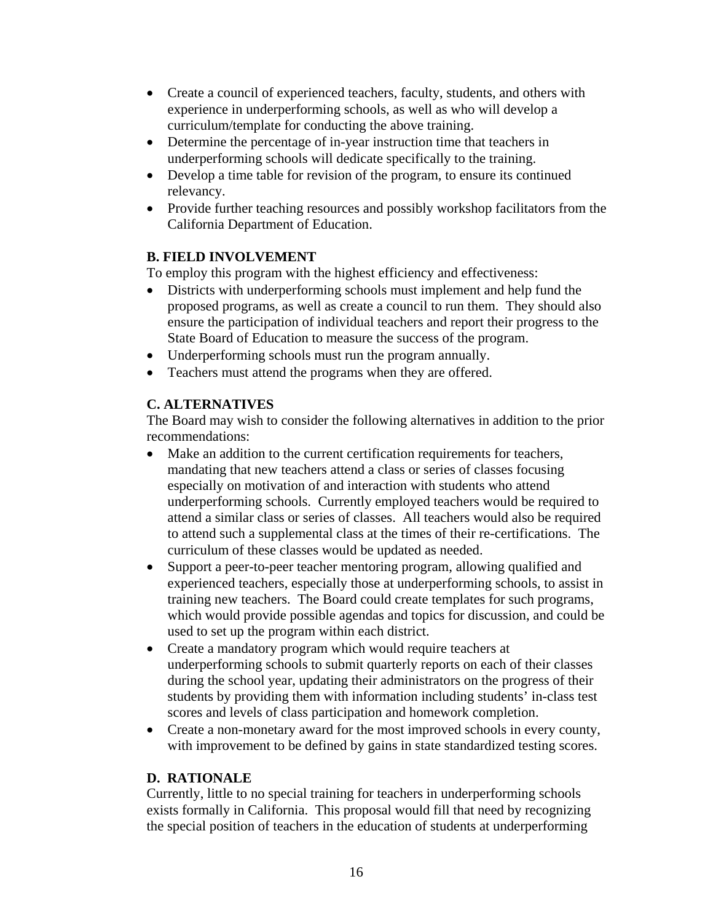- Create a council of experienced teachers, faculty, students, and others with experience in underperforming schools, as well as who will develop a curriculum/template for conducting the above training.
- Determine the percentage of in-year instruction time that teachers in underperforming schools will dedicate specifically to the training.
- Develop a time table for revision of the program, to ensure its continued relevancy.
- Provide further teaching resources and possibly workshop facilitators from the California Department of Education.

### **B. FIELD INVOLVEMENT**

To employ this program with the highest efficiency and effectiveness:

- Districts with underperforming schools must implement and help fund the proposed programs, as well as create a council to run them. They should also ensure the participation of individual teachers and report their progress to the State Board of Education to measure the success of the program.
- Underperforming schools must run the program annually.
- Teachers must attend the programs when they are offered.

### **C. ALTERNATIVES**

The Board may wish to consider the following alternatives in addition to the prior recommendations:

- Make an addition to the current certification requirements for teachers, mandating that new teachers attend a class or series of classes focusing especially on motivation of and interaction with students who attend underperforming schools. Currently employed teachers would be required to attend a similar class or series of classes. All teachers would also be required to attend such a supplemental class at the times of their re-certifications. The curriculum of these classes would be updated as needed.
- Support a peer-to-peer teacher mentoring program, allowing qualified and experienced teachers, especially those at underperforming schools, to assist in training new teachers. The Board could create templates for such programs, which would provide possible agendas and topics for discussion, and could be used to set up the program within each district.
- Create a mandatory program which would require teachers at underperforming schools to submit quarterly reports on each of their classes during the school year, updating their administrators on the progress of their students by providing them with information including students' in-class test scores and levels of class participation and homework completion.
- Create a non-monetary award for the most improved schools in every county, with improvement to be defined by gains in state standardized testing scores.

### **D. RATIONALE**

Currently, little to no special training for teachers in underperforming schools exists formally in California. This proposal would fill that need by recognizing the special position of teachers in the education of students at underperforming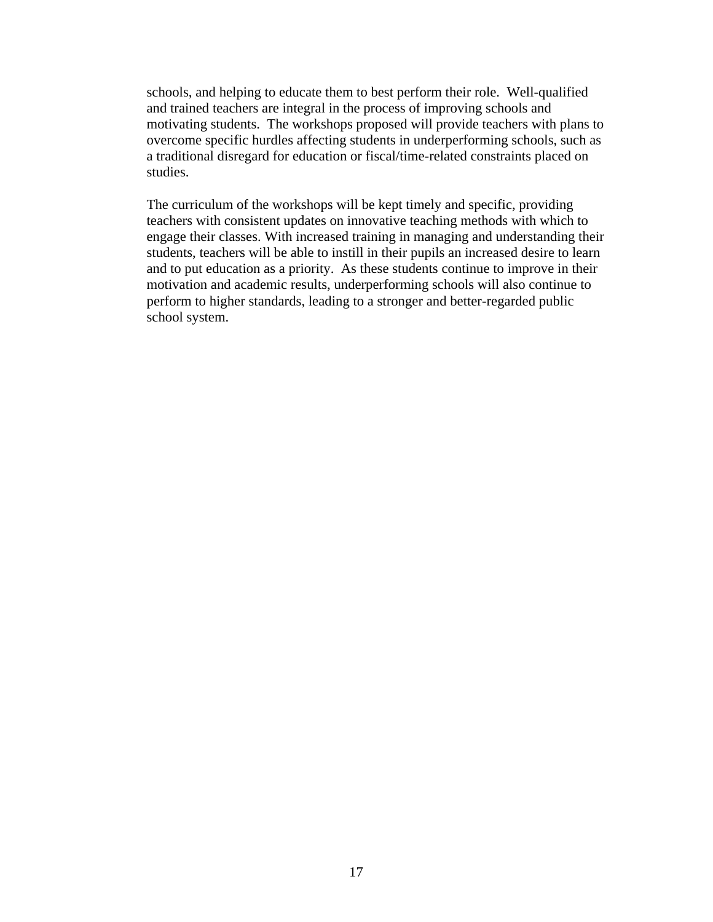schools, and helping to educate them to best perform their role. Well-qualified and trained teachers are integral in the process of improving schools and motivating students. The workshops proposed will provide teachers with plans to overcome specific hurdles affecting students in underperforming schools, such as a traditional disregard for education or fiscal/time-related constraints placed on studies.

The curriculum of the workshops will be kept timely and specific, providing teachers with consistent updates on innovative teaching methods with which to engage their classes. With increased training in managing and understanding their students, teachers will be able to instill in their pupils an increased desire to learn and to put education as a priority. As these students continue to improve in their motivation and academic results, underperforming schools will also continue to perform to higher standards, leading to a stronger and better-regarded public school system.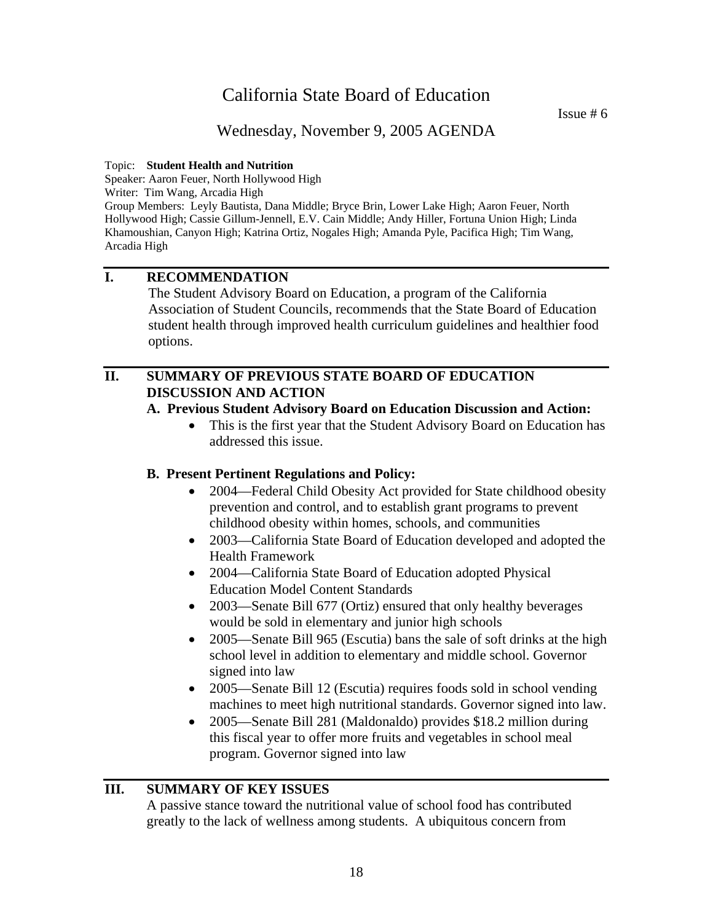Issue # 6

### Wednesday, November 9, 2005 AGENDA

#### Topic: **Student Health and Nutrition**

Speaker: Aaron Feuer, North Hollywood High

Writer: Tim Wang, Arcadia High

Group Members: Leyly Bautista, Dana Middle; Bryce Brin, Lower Lake High; Aaron Feuer, North Hollywood High; Cassie Gillum-Jennell, E.V. Cain Middle; Andy Hiller, Fortuna Union High; Linda Khamoushian, Canyon High; Katrina Ortiz, Nogales High; Amanda Pyle, Pacifica High; Tim Wang, Arcadia High

### **I. RECOMMENDATION**

 The Student Advisory Board on Education, a program of the California Association of Student Councils, recommends that the State Board of Education student health through improved health curriculum guidelines and healthier food options.

### **II. SUMMARY OF PREVIOUS STATE BOARD OF EDUCATION DISCUSSION AND ACTION**

#### **A. Previous Student Advisory Board on Education Discussion and Action:**

• This is the first year that the Student Advisory Board on Education has addressed this issue.

#### **B. Present Pertinent Regulations and Policy:**

- 2004—Federal Child Obesity Act provided for State childhood obesity prevention and control, and to establish grant programs to prevent childhood obesity within homes, schools, and communities
- 2003—California State Board of Education developed and adopted the Health Framework
- 2004—California State Board of Education adopted Physical Education Model Content Standards
- 2003—Senate Bill 677 (Ortiz) ensured that only healthy beverages would be sold in elementary and junior high schools
- 2005—Senate Bill 965 (Escutia) bans the sale of soft drinks at the high school level in addition to elementary and middle school. Governor signed into law
- 2005—Senate Bill 12 (Escutia) requires foods sold in school vending machines to meet high nutritional standards. Governor signed into law.
- 2005—Senate Bill 281 (Maldonaldo) provides \$18.2 million during this fiscal year to offer more fruits and vegetables in school meal program. Governor signed into law

### **III. SUMMARY OF KEY ISSUES**

A passive stance toward the nutritional value of school food has contributed greatly to the lack of wellness among students. A ubiquitous concern from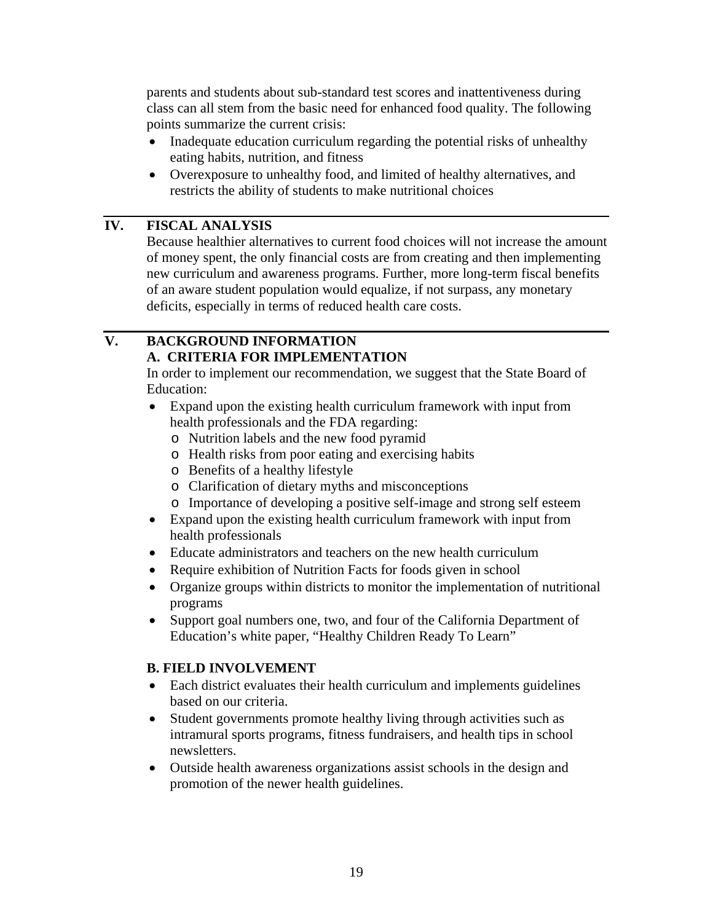parents and students about sub-standard test scores and inattentiveness during class can all stem from the basic need for enhanced food quality. The following points summarize the current crisis:

- Inadequate education curriculum regarding the potential risks of unhealthy eating habits, nutrition, and fitness
- Overexposure to unhealthy food, and limited of healthy alternatives, and restricts the ability of students to make nutritional choices

### **IV. FISCAL ANALYSIS**

Because healthier alternatives to current food choices will not increase the amount of money spent, the only financial costs are from creating and then implementing new curriculum and awareness programs. Further, more long-term fiscal benefits of an aware student population would equalize, if not surpass, any monetary deficits, especially in terms of reduced health care costs.

### **V. BACKGROUND INFORMATION A. CRITERIA FOR IMPLEMENTATION**

In order to implement our recommendation, we suggest that the State Board of Education:

- Expand upon the existing health curriculum framework with input from health professionals and the FDA regarding:
	- o Nutrition labels and the new food pyramid
	- o Health risks from poor eating and exercising habits
	- o Benefits of a healthy lifestyle
	- o Clarification of dietary myths and misconceptions
	- o Importance of developing a positive self-image and strong self esteem
- Expand upon the existing health curriculum framework with input from health professionals
- Educate administrators and teachers on the new health curriculum
- Require exhibition of Nutrition Facts for foods given in school
- Organize groups within districts to monitor the implementation of nutritional programs
- Support goal numbers one, two, and four of the California Department of Education's white paper, "Healthy Children Ready To Learn"

### **B. FIELD INVOLVEMENT**

- Each district evaluates their health curriculum and implements guidelines based on our criteria.
- Student governments promote healthy living through activities such as intramural sports programs, fitness fundraisers, and health tips in school newsletters.
- Outside health awareness organizations assist schools in the design and promotion of the newer health guidelines.